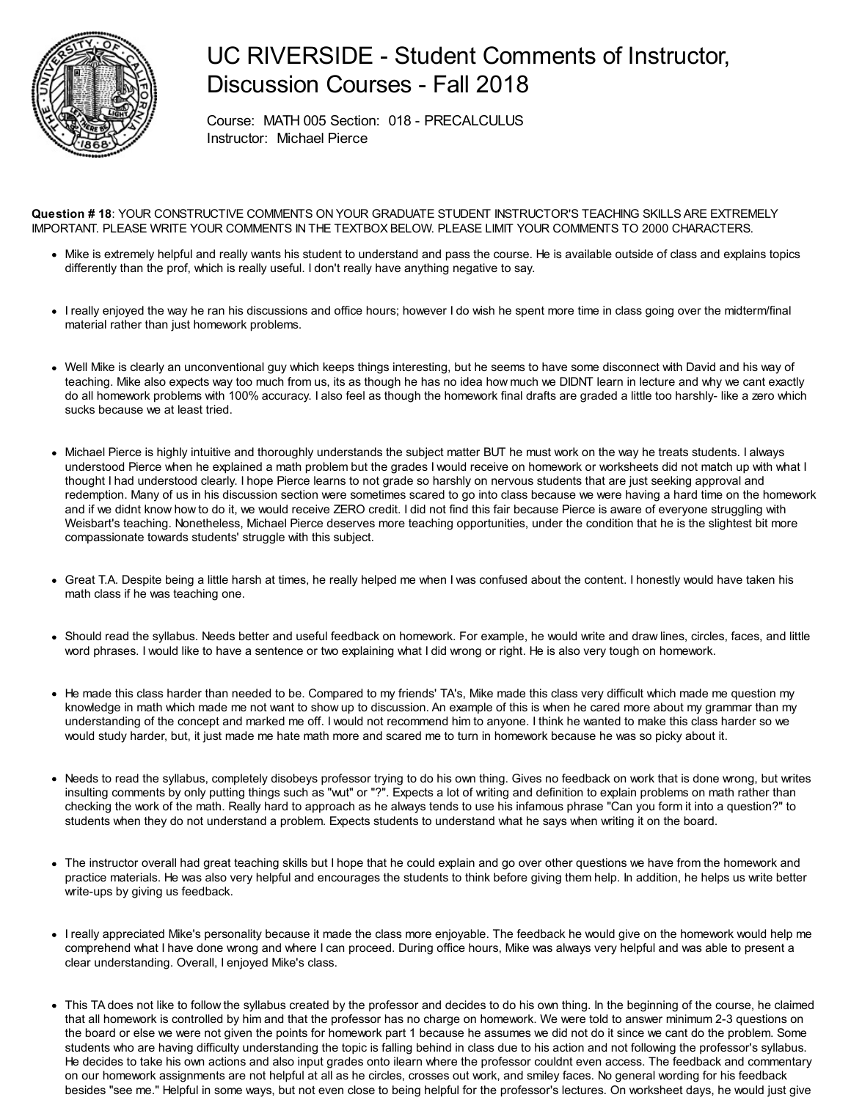

## UC RIVERSIDE - Student Comments of Instructor, Discussion Courses - Fall 2018

Course: MATH 005 Section: 018 - PRECALCULUS Instructor: Michael Pierce

**Question # 18**: YOUR CONSTRUCTIVE COMMENTS ON YOUR GRADUATE STUDENT INSTRUCTOR'S TEACHING SKILLS ARE EXTREMELY IMPORTANT. PLEASE WRITE YOUR COMMENTS IN THE TEXTBOX BELOW. PLEASE LIMIT YOUR COMMENTS TO 2000 CHARACTERS.

- Mike is extremely helpful and really wants his student to understand and pass the course. He is available outside of class and explains topics differently than the prof, which is really useful. I don't really have anything negative to say.
- I really enjoyed the way he ran his discussions and office hours; however I do wish he spent more time in class going over the midterm/final material rather than just homework problems.
- Well Mike is clearly an unconventional guy which keeps things interesting, but he seems to have some disconnect with David and his way of teaching. Mike also expects way too much from us, its as though he has no idea how much we DIDNT learn in lecture and why we cant exactly do all homework problems with 100% accuracy. I also feel as though the homework final drafts are graded a little too harshly- like a zero which sucks because we at least tried.
- Michael Pierce is highly intuitive and thoroughly understands the subject matter BUT he must work on the way he treats students. I always understood Pierce when he explained a math problem but the grades I would receive on homework or worksheets did not match up with what I thought I had understood clearly. I hope Pierce learns to not grade so harshly on nervous students that are just seeking approval and redemption. Many of us in his discussion section were sometimes scared to go into class because we were having a hard time on the homework and if we didnt know how to do it, we would receive ZERO credit. I did not find this fair because Pierce is aware of everyone struggling with Weisbart's teaching. Nonetheless, Michael Pierce deserves more teaching opportunities, under the condition that he is the slightest bit more compassionate towards students' struggle with this subject.
- Great T.A. Despite being a little harsh at times, he really helped me when I was confused about the content. I honestly would have taken his math class if he was teaching one.
- Should read the syllabus. Needs better and useful feedback on homework. For example, he would write and draw lines, circles, faces, and little word phrases. I would like to have a sentence or two explaining what I did wrong or right. He is also very tough on homework.
- He made this class harder than needed to be. Compared to my friends' TA's, Mike made this class very difficult which made me question my knowledge in math which made me not want to show up to discussion. An example of this is when he cared more about my grammar than my understanding of the concept and marked me off. I would not recommend him to anyone. I think he wanted to make this class harder so we would study harder, but, it just made me hate math more and scared me to turn in homework because he was so picky about it.
- Needs to read the syllabus, completely disobeys professor trying to do his own thing. Gives no feedback on work that is done wrong, but writes insulting comments by only putting things such as "wut" or "?". Expects a lot of writing and definition to explain problems on math rather than checking the work of the math. Really hard to approach as he always tends to use his infamous phrase "Can you form it into a question?" to students when they do not understand a problem. Expects students to understand what he says when writing it on the board.
- The instructor overall had great teaching skills but I hope that he could explain and go over other questions we have from the homework and practice materials. He was also very helpful and encourages the students to think before giving them help. In addition, he helps us write better write-ups by giving us feedback.
- I really appreciated Mike's personality because it made the class more enjoyable. The feedback he would give on the homework would help me comprehend what I have done wrong and where I can proceed. During office hours, Mike was always very helpful and was able to present a clear understanding. Overall, I enjoyed Mike's class.
- This TA does not like to follow the syllabus created by the professor and decides to do his own thing. In the beginning of the course, he claimed that all homework is controlled by him and that the professor has no charge on homework. We were told to answer minimum 2-3 questions on the board or else we were not given the points for homework part 1 because he assumes we did not do it since we cant do the problem. Some students who are having difficulty understanding the topic is falling behind in class due to his action and not following the professor's syllabus. He decides to take his own actions and also input grades onto ilearn where the professor couldnt even access. The feedback and commentary on our homework assignments are not helpful at all as he circles, crosses out work, and smiley faces. No general wording for his feedback besides "see me." Helpful in some ways, but not even close to being helpful for the professor's lectures. On worksheet days, he would just give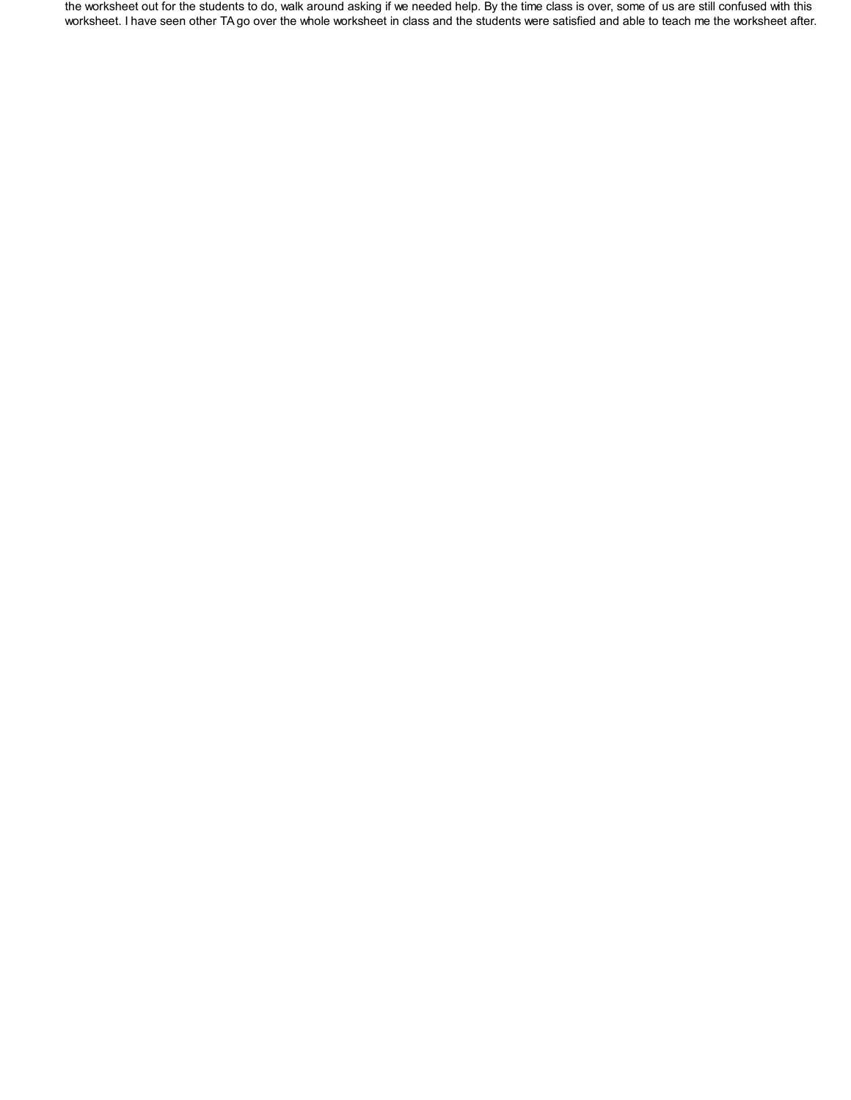the worksheet out for the students to do, walk around asking if we needed help. By the time class is over, some of us are still confused with this worksheet. I have seen other TA go over the whole worksheet in class and the students were satisfied and able to teach me the worksheet after.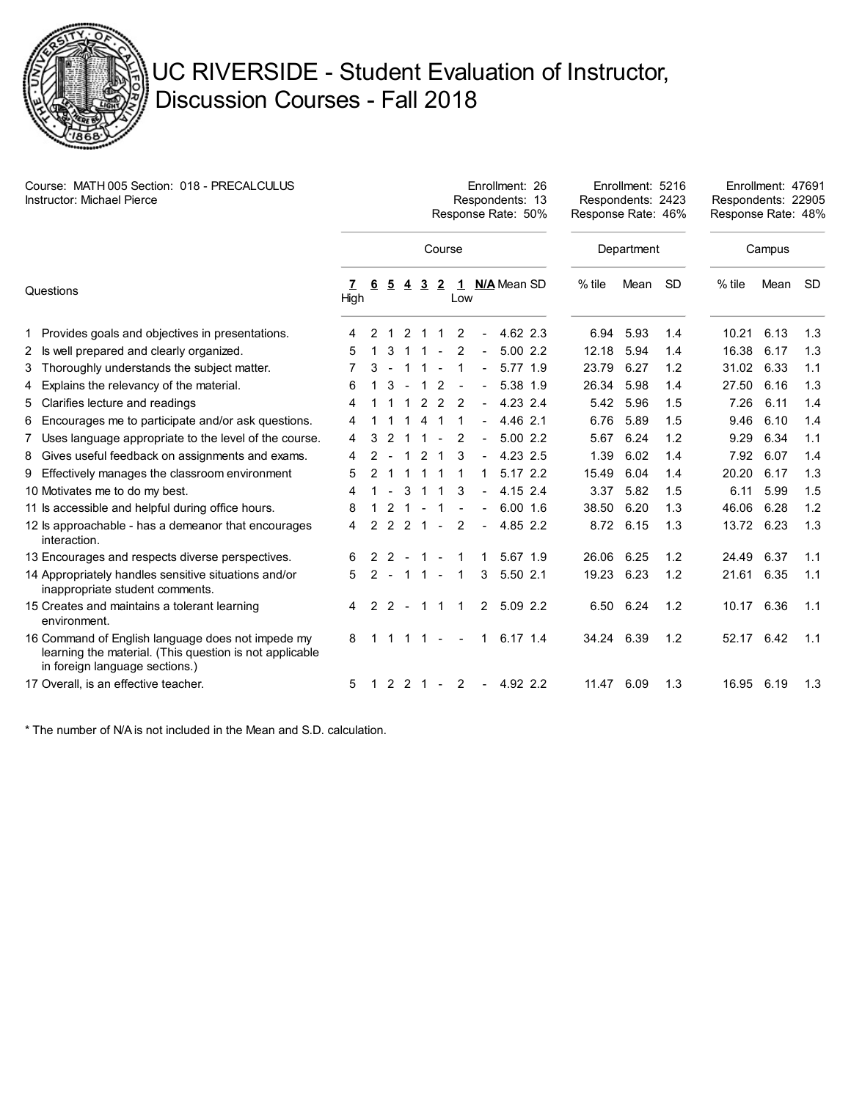

## UC RIVERSIDE - Student Evaluation of Instructor, Discussion Courses - Fall 2018

| Course: MATH 005 Section: 018 - PRECALCULUS<br><b>Instructor: Michael Pierce</b> |                                                                                                                                                |      | Enrollment: 26<br>Respondents: 13<br>Response Rate: 50% |               |                |                |                |                |                              |             |               |            | Enrollment: 5216<br>Respondents: 2423<br>Response Rate: 46% |           |          | Enrollment: 47691<br>Respondents: 22905<br>Response Rate: 48% |           |  |
|----------------------------------------------------------------------------------|------------------------------------------------------------------------------------------------------------------------------------------------|------|---------------------------------------------------------|---------------|----------------|----------------|----------------|----------------|------------------------------|-------------|---------------|------------|-------------------------------------------------------------|-----------|----------|---------------------------------------------------------------|-----------|--|
|                                                                                  |                                                                                                                                                |      |                                                         |               |                |                | Course         |                |                              |             |               | Department |                                                             |           | Campus   |                                                               |           |  |
| Questions                                                                        |                                                                                                                                                | High | 6                                                       | <u>5</u>      | 4              | $\overline{3}$ | $\overline{2}$ | Low            |                              |             | 1 N/A Mean SD | $%$ tile   | Mean                                                        | <b>SD</b> | $%$ tile | Mean                                                          | <b>SD</b> |  |
|                                                                                  | 1 Provides goals and objectives in presentations.                                                                                              | 4    | 2                                                       |               | 2              |                |                | 2              |                              |             | 4.62 2.3      | 6.94       | 5.93                                                        | 1.4       | 10.21    | 6.13                                                          | 1.3       |  |
|                                                                                  | 2 Is well prepared and clearly organized.                                                                                                      | 5    |                                                         | 3             |                |                |                | 2              |                              |             | 5.002.2       | 12.18      | 5.94                                                        | 1.4       | 16.38    | 6.17                                                          | 1.3       |  |
|                                                                                  | 3 Thoroughly understands the subject matter.                                                                                                   | 7    | 3                                                       |               |                |                |                | 1              | $\qquad \qquad \blacksquare$ |             | 5.77 1.9      | 23.79      | 6.27                                                        | 1.2       | 31.02    | 6.33                                                          | 1.1       |  |
|                                                                                  | 4 Explains the relevancy of the material.                                                                                                      | 6    |                                                         | 3             |                | $\mathbf{1}$   | 2              |                |                              |             | 5.38 1.9      | 26.34      | 5.98                                                        | 1.4       | 27.50    | 6.16                                                          | 1.3       |  |
|                                                                                  | 5 Clarifies lecture and readings                                                                                                               | 4    |                                                         |               |                | 2              | 2              | 2              |                              |             | 4.23 2.4      | 5.42       | 5.96                                                        | 1.5       | 7.26     | 6.11                                                          | 1.4       |  |
|                                                                                  | 6 Encourages me to participate and/or ask questions.                                                                                           | 4    |                                                         |               |                | 4              |                |                |                              |             | 4.46 2.1      | 6.76       | 5.89                                                        | 1.5       | 9.46     | 6.10                                                          | 1.4       |  |
| 7                                                                                | Uses language appropriate to the level of the course.                                                                                          | 4    | 3                                                       | 2             |                |                |                | 2              | $\blacksquare$               |             | 5.00 2.2      | 5.67       | 6.24                                                        | 1.2       | 9.29     | 6.34                                                          | 1.1       |  |
|                                                                                  | 8 Gives useful feedback on assignments and exams.                                                                                              | 4    | $\mathcal{P}$                                           |               | 1              | 2              | -1             | 3              |                              |             | 4.23 2.5      | 1.39       | 6.02                                                        | 1.4       | 7.92     | 6.07                                                          | 1.4       |  |
| 9                                                                                | Effectively manages the classroom environment                                                                                                  | 5    |                                                         |               |                |                |                | 1              |                              |             | 5.17 2.2      | 15.49      | 6.04                                                        | 1.4       | 20.20    | 6.17                                                          | 1.3       |  |
|                                                                                  | 10 Motivates me to do my best.                                                                                                                 | 4    |                                                         |               | 3              |                |                | 3              |                              |             | 4.15 2.4      | 3.37       | 5.82                                                        | 1.5       | 6.11     | 5.99                                                          | 1.5       |  |
|                                                                                  | 11 Is accessible and helpful during office hours.                                                                                              | 8    |                                                         | 2             |                |                |                |                |                              |             | $6.00$ 1.6    | 38.50      | 6.20                                                        | 1.3       | 46.06    | 6.28                                                          | 1.2       |  |
|                                                                                  | 12 ls approachable - has a demeanor that encourages<br>interaction.                                                                            | 4    |                                                         | $\mathcal{P}$ | $\overline{2}$ | 1              |                | $\overline{2}$ |                              |             | 4.85 2.2      |            | 8.72 6.15                                                   | 1.3       | 13.72    | 6.23                                                          | 1.3       |  |
|                                                                                  | 13 Encourages and respects diverse perspectives.                                                                                               | 6    |                                                         | -2            |                |                |                |                |                              |             | 5.67 1.9      | 26.06      | 6.25                                                        | 1.2       | 24.49    | 6.37                                                          | 1.1       |  |
|                                                                                  | 14 Appropriately handles sensitive situations and/or<br>inappropriate student comments.                                                        | 5    | $\mathcal{P}$                                           | $-11$         |                |                | $\sim$         | $\mathbf{1}$   | 3                            |             | 5.50 2.1      | 19.23      | 6.23                                                        | 1.2       | 21.61    | 6.35                                                          | 1.1       |  |
|                                                                                  | 15 Creates and maintains a tolerant learning<br>environment.                                                                                   | 4    | 2                                                       | 2             | $\blacksquare$ | $\mathbf{1}$   | $\mathbf 1$    | 1              |                              | $2^{\circ}$ | 5.09 2.2      | 6.50       | 6.24                                                        | 1.2       | 10.17    | 6.36                                                          | 1.1       |  |
|                                                                                  | 16 Command of English language does not impede my<br>learning the material. (This question is not applicable<br>in foreign language sections.) | 8    |                                                         |               |                |                |                |                |                              |             | 6.17 1.4      | 34.24 6.39 |                                                             | 1.2       | 52.17    | 6.42                                                          | 1.1       |  |
|                                                                                  | 17 Overall, is an effective teacher.                                                                                                           | 5    | 1                                                       |               | $2 \t2 \t1$    |                | $\sim$         | 2              | $\blacksquare$               |             | 4.92 2.2      | 11.47      | 6.09                                                        | 1.3       | 16.95    | 6.19                                                          | 1.3       |  |

\* The number of N/A is not included in the Mean and S.D. calculation.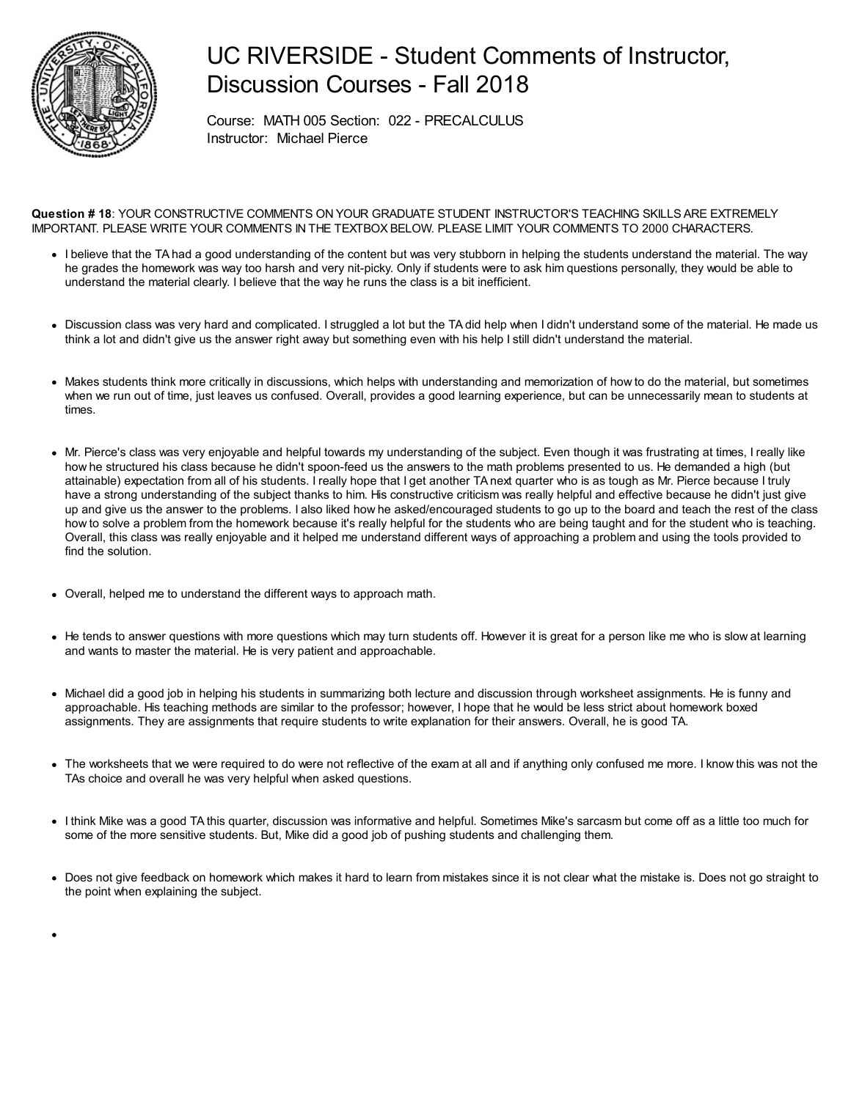

## UC RIVERSIDE - Student Comments of Instructor, Discussion Courses - Fall 2018

Course: MATH 005 Section: 022 - PRECALCULUS Instructor: Michael Pierce

**Question # 18**: YOUR CONSTRUCTIVE COMMENTS ON YOUR GRADUATE STUDENT INSTRUCTOR'S TEACHING SKILLS ARE EXTREMELY IMPORTANT. PLEASE WRITE YOUR COMMENTS IN THE TEXTBOX BELOW. PLEASE LIMIT YOUR COMMENTS TO 2000 CHARACTERS.

- I believe that the TA had a good understanding of the content but was very stubborn in helping the students understand the material. The way he grades the homework was way too harsh and very nit-picky. Only if students were to ask him questions personally, they would be able to understand the material clearly. I believe that the way he runs the class is a bit inefficient.
- Discussion class was very hard and complicated. I struggled a lot but the TA did help when I didn't understand some of the material. He made us think a lot and didn't give us the answer right away but something even with his help I still didn't understand the material.
- Makes students think more critically in discussions, which helps with understanding and memorization of how to do the material, but sometimes when we run out of time, just leaves us confused. Overall, provides a good learning experience, but can be unnecessarily mean to students at times.
- Mr. Pierce's class was very enjoyable and helpful towards my understanding of the subject. Even though it was frustrating at times, I really like how he structured his class because he didn't spoon-feed us the answers to the math problems presented to us. He demanded a high (but attainable) expectation from all of his students. I really hope that I get another TA next quarter who is as tough as Mr. Pierce because I truly have a strong understanding of the subject thanks to him. His constructive criticism was really helpful and effective because he didn't just give up and give us the answer to the problems. I also liked how he asked/encouraged students to go up to the board and teach the rest of the class how to solve a problem from the homework because it's really helpful for the students who are being taught and for the student who is teaching. Overall, this class was really enjoyable and it helped me understand different ways of approaching a problem and using the tools provided to find the solution.
- Overall, helped me to understand the different ways to approach math.
- He tends to answer questions with more questions which may turn students off. However it is great for a person like me who is slow at learning and wants to master the material. He is very patient and approachable.
- Michael did a good job in helping his students in summarizing both lecture and discussion through worksheet assignments. He is funny and approachable. His teaching methods are similar to the professor; however, I hope that he would be less strict about homework boxed assignments. They are assignments that require students to write explanation for their answers. Overall, he is good TA.
- The worksheets that we were required to do were not reflective of the exam at all and if anything only confused me more. I know this was not the TAs choice and overall he was very helpful when asked questions.
- I think Mike was a good TA this quarter, discussion was informative and helpful. Sometimes Mike's sarcasm but come off as a little too much for some of the more sensitive students. But, Mike did a good job of pushing students and challenging them.
- Does not give feedback on homework which makes it hard to learn from mistakes since it is not clear what the mistake is. Does not go straight to the point when explaining the subject.